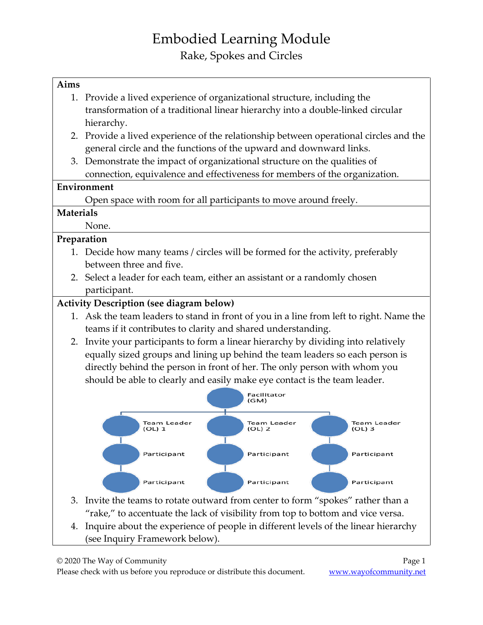# Embodied Learning Module Rake, Spokes and Circles

### **Aims**

- 1. Provide a lived experience of organizational structure, including the transformation of a traditional linear hierarchy into a double-linked circular hierarchy.
- 2. Provide a lived experience of the relationship between operational circles and the general circle and the functions of the upward and downward links.
- 3. Demonstrate the impact of organizational structure on the qualities of connection, equivalence and effectiveness for members of the organization.

#### **Environment**

Open space with room for all participants to move around freely.

### **Materials**

None.

## **Preparation**

- 1. Decide how many teams / circles will be formed for the activity, preferably between three and five.
- 2. Select a leader for each team, either an assistant or a randomly chosen participant.

# **Activity Description (see diagram below)**

- 1. Ask the team leaders to stand in front of you in a line from left to right. Name the teams if it contributes to clarity and shared understanding.
- 2. Invite your participants to form a linear hierarchy by dividing into relatively equally sized groups and lining up behind the team leaders so each person is directly behind the person in front of her. The only person with whom you should be able to clearly and easily make eye contact is the team leader.



- 3. Invite the teams to rotate outward from center to form "spokes" rather than a "rake," to accentuate the lack of visibility from top to bottom and vice versa.
- 4. Inquire about the experience of people in different levels of the linear hierarchy (see Inquiry Framework below).

© 2020 The Way of Community Page 1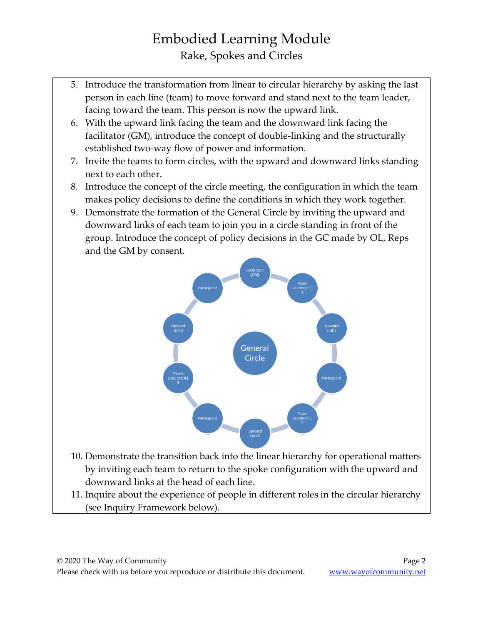# Embodied Learning Module Rake, Spokes and Circles

- 5. Introduce the transformation from linear to circular hierarchy by asking the last person in each line (team) to move forward and stand next to the team leader, facing toward the team. This person is now the upward link.
- 6. With the upward link facing the team and the downward link facing the facilitator (GM), introduce the concept of double-linking and the structurally established two-way flow of power and information.
- 7. Invite the teams to form circles, with the upward and downward links standing next to each other.
- 8. Introduce the concept of the circle meeting, the configuration in which the team makes policy decisions to define the conditions in which they work together.
- 9. Demonstrate the formation of the General Circle by inviting the upward and downward links of each team to join you in a circle standing in front of the group. Introduce the concept of policy decisions in the GC made by OL, Reps and the GM by consent.



- 10. Demonstrate the transition back into the linear hierarchy for operational matters by inviting each team to return to the spoke configuration with the upward and downward links at the head of each line.
- 11. Inquire about the experience of people in different roles in the circular hierarchy (see Inquiry Framework below).